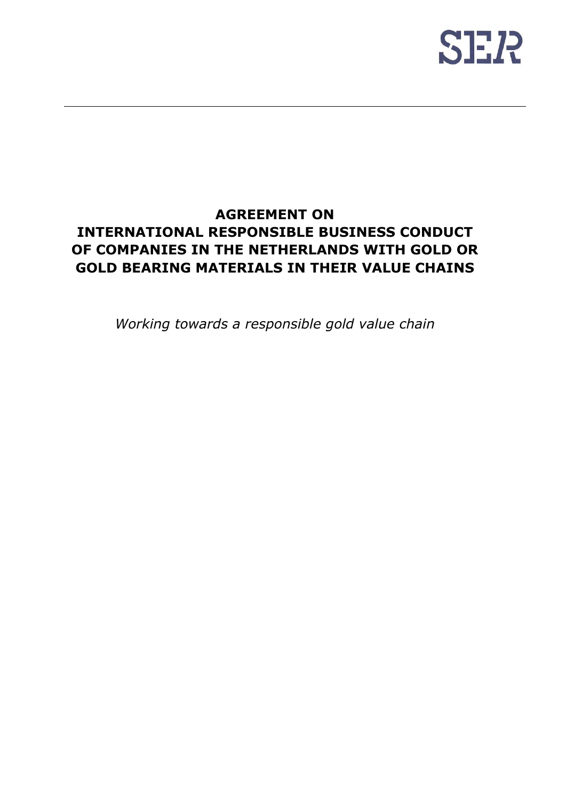

# **AGREEMENT ON INTERNATIONAL RESPONSIBLE BUSINESS CONDUCT OF COMPANIES IN THE NETHERLANDS WITH GOLD OR GOLD BEARING MATERIALS IN THEIR VALUE CHAINS**

*Working towards a responsible gold value chain*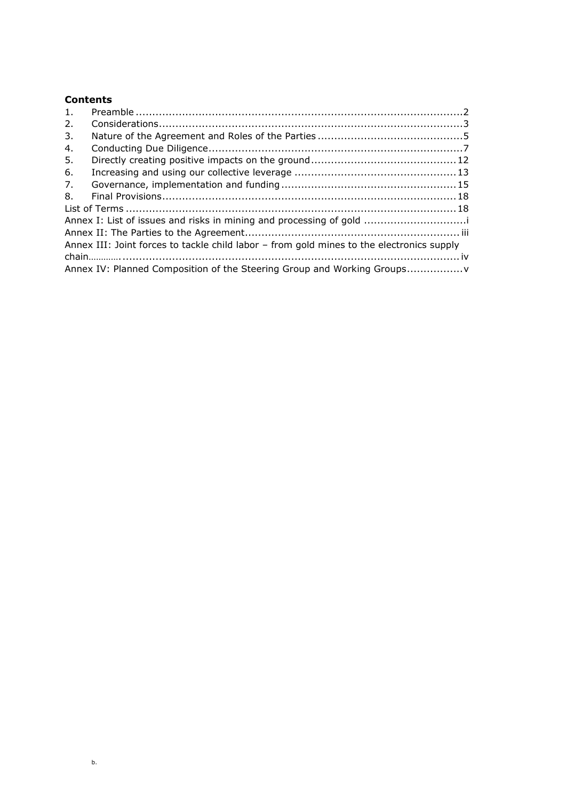## **Contents**

| 1.                                                                                        |                                                                        |  |  |
|-------------------------------------------------------------------------------------------|------------------------------------------------------------------------|--|--|
| 2.                                                                                        |                                                                        |  |  |
| 3.                                                                                        |                                                                        |  |  |
| 4.                                                                                        |                                                                        |  |  |
| 5.                                                                                        |                                                                        |  |  |
| 6.                                                                                        |                                                                        |  |  |
| 7.                                                                                        |                                                                        |  |  |
| 8.                                                                                        |                                                                        |  |  |
|                                                                                           |                                                                        |  |  |
| Annex I: List of issues and risks in mining and processing of gold                        |                                                                        |  |  |
|                                                                                           |                                                                        |  |  |
| Annex III: Joint forces to tackle child labor - from gold mines to the electronics supply |                                                                        |  |  |
|                                                                                           |                                                                        |  |  |
|                                                                                           | Annex IV: Planned Composition of the Steering Group and Working Groups |  |  |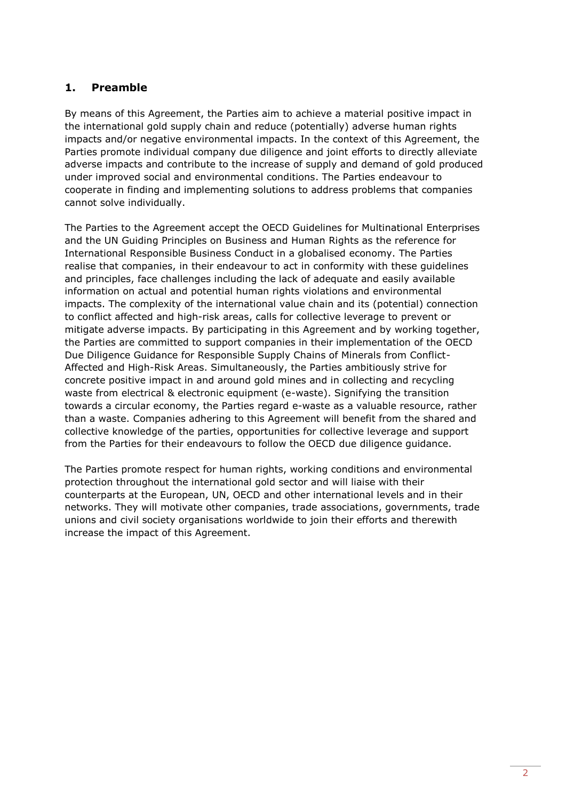## <span id="page-2-0"></span>**1. Preamble**

By means of this Agreement, the Parties aim to achieve a material positive impact in the international gold supply chain and reduce (potentially) adverse human rights impacts and/or negative environmental impacts. In the context of this Agreement, the Parties promote individual company due diligence and joint efforts to directly alleviate adverse impacts and contribute to the increase of supply and demand of gold produced under improved social and environmental conditions. The Parties endeavour to cooperate in finding and implementing solutions to address problems that companies cannot solve individually.

The Parties to the Agreement accept the OECD Guidelines for Multinational Enterprises and the UN Guiding Principles on Business and Human Rights as the reference for International Responsible Business Conduct in a globalised economy. The Parties realise that companies, in their endeavour to act in conformity with these guidelines and principles, face challenges including the lack of adequate and easily available information on actual and potential human rights violations and environmental impacts. The complexity of the international value chain and its (potential) connection to conflict affected and high-risk areas, calls for collective leverage to prevent or mitigate adverse impacts. By participating in this Agreement and by working together, the Parties are committed to support companies in their implementation of the OECD Due Diligence Guidance for Responsible Supply Chains of Minerals from Conflict-Affected and High-Risk Areas. Simultaneously, the Parties ambitiously strive for concrete positive impact in and around gold mines and in collecting and recycling waste from electrical & electronic equipment (e-waste). Signifying the transition towards a circular economy, the Parties regard e-waste as a valuable resource, rather than a waste. Companies adhering to this Agreement will benefit from the shared and collective knowledge of the parties, opportunities for collective leverage and support from the Parties for their endeavours to follow the OECD due diligence guidance.

The Parties promote respect for human rights, working conditions and environmental protection throughout the international gold sector and will liaise with their counterparts at the European, UN, OECD and other international levels and in their networks. They will motivate other companies, trade associations, governments, trade unions and civil society organisations worldwide to join their efforts and therewith increase the impact of this Agreement.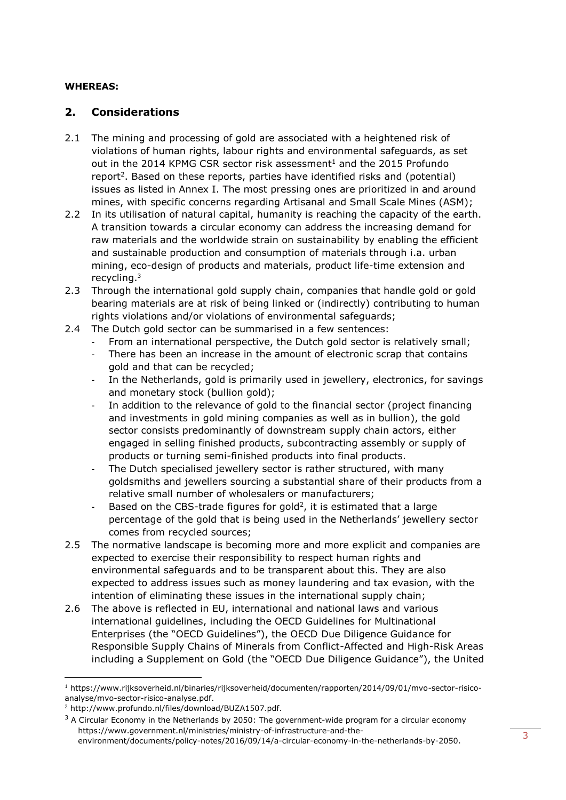### **WHEREAS:**

## <span id="page-3-0"></span>**2. Considerations**

- <span id="page-3-1"></span>2.1 The mining and processing of gold are associated with a heightened risk of violations of human rights, labour rights and environmental safeguards, as set out in the 2014 KPMG CSR sector risk assessment<sup>1</sup> and the 2015 Profundo report<sup>2</sup>. Based on these reports, parties have identified risks and (potential) issues as listed in Annex I. The most pressing ones are prioritized in and around mines, with specific concerns regarding Artisanal and Small Scale Mines (ASM);
- 2.2 In its utilisation of natural capital, humanity is reaching the capacity of the earth. A transition towards a circular economy can address the increasing demand for raw materials and the worldwide strain on sustainability by enabling the efficient and sustainable production and consumption of materials through i.a. urban mining, eco-design of products and materials, product life-time extension and recycling.<sup>3</sup>
- 2.3 Through the international gold supply chain, companies that handle gold or gold bearing materials are at risk of being linked or (indirectly) contributing to human rights violations and/or violations of environmental safeguards;
- 2.4 The Dutch gold sector can be summarised in a few sentences:
	- From an international perspective, the Dutch gold sector is relatively small;
	- There has been an increase in the amount of electronic scrap that contains gold and that can be recycled;
	- In the Netherlands, gold is primarily used in jewellery, electronics, for savings and monetary stock (bullion gold);
	- In addition to the relevance of gold to the financial sector (project financing and investments in gold mining companies as well as in bullion), the gold sector consists predominantly of downstream supply chain actors, either engaged in selling finished products, subcontracting assembly or supply of products or turning semi-finished products into final products.
	- The Dutch specialised jewellery sector is rather structured, with many goldsmiths and jewellers sourcing a substantial share of their products from a relative small number of wholesalers or manufacturers;
	- Based on the CBS-trade figures for gold<sup>[2](#page-3-1)</sup>, it is estimated that a large percentage of the gold that is being used in the Netherlands' jewellery sector comes from recycled sources;
- 2.5 The normative landscape is becoming more and more explicit and companies are expected to exercise their responsibility to respect human rights and environmental safeguards and to be transparent about this. They are also expected to address issues such as money laundering and tax evasion, with the intention of eliminating these issues in the international supply chain;
- 2.6 The above is reflected in EU, international and national laws and various international guidelines, including the OECD Guidelines for Multinational Enterprises (the "OECD Guidelines"), the OECD Due Diligence Guidance for Responsible Supply Chains of Minerals from Conflict-Affected and High-Risk Areas including a Supplement on Gold (the "OECD Due Diligence Guidance"), the United

<sup>1</sup> [https://www.rijksoverheid.nl/binaries/rijksoverheid/documenten/rapporten/2014/09/01/mvo-sector-risico](https://www.rijksoverheid.nl/binaries/rijksoverheid/documenten/rapporten/2014/09/01/mvo-sector-risico-analyse/mvo-sector-risico-analyse.pdf)[analyse/mvo-sector-risico-analyse.pdf.](https://www.rijksoverheid.nl/binaries/rijksoverheid/documenten/rapporten/2014/09/01/mvo-sector-risico-analyse/mvo-sector-risico-analyse.pdf)

<sup>2</sup> http://www.profundo.nl/files/download/BUZA1507.pdf.

 $3$  A Circular Economy in the Netherlands by 2050: The government-wide program for a circular economy https://www.government.nl/ministries/ministry-of-infrastructure-and-the-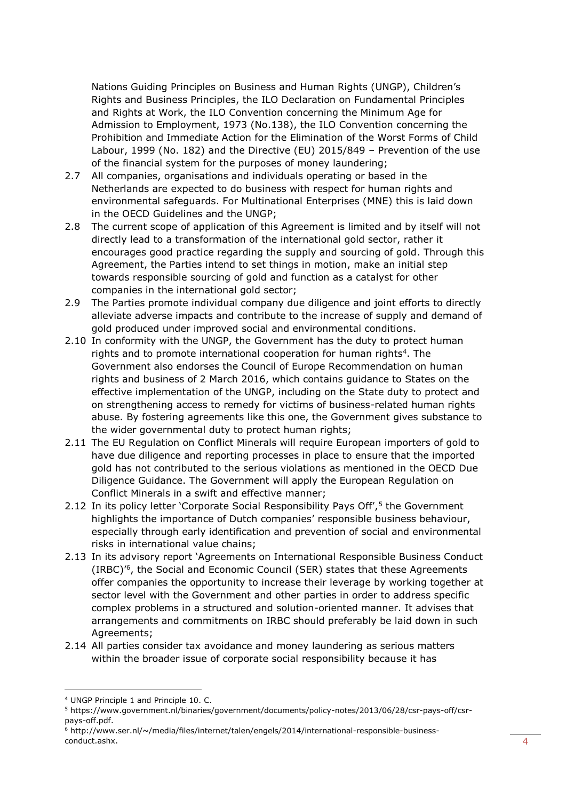Nations Guiding Principles on Business and Human Rights (UNGP), Children's Rights and Business Principles, the ILO Declaration on Fundamental Principles and Rights at Work, the ILO Convention concerning the Minimum Age for Admission to Employment, 1973 (No.138), the ILO Convention concerning the Prohibition and Immediate Action for the Elimination of the Worst Forms of Child Labour, 1999 (No. 182) and the Directive (EU) 2015/849 – Prevention of the use of the financial system for the purposes of money laundering;

- 2.7 All companies, organisations and individuals operating or based in the Netherlands are expected to do business with respect for human rights and environmental safeguards. For Multinational Enterprises (MNE) this is laid down in the OECD Guidelines and the UNGP;
- 2.8 The current scope of application of this Agreement is limited and by itself will not directly lead to a transformation of the international gold sector, rather it encourages good practice regarding the supply and sourcing of gold. Through this Agreement, the Parties intend to set things in motion, make an initial step towards responsible sourcing of gold and function as a catalyst for other companies in the international gold sector;
- 2.9 The Parties promote individual company due diligence and joint efforts to directly alleviate adverse impacts and contribute to the increase of supply and demand of gold produced under improved social and environmental conditions.
- 2.10 In conformity with the UNGP, the Government has the duty to protect human rights and to promote international cooperation for human rights<sup>4</sup>. The Government also endorses the Council of Europe Recommendation on human rights and business of 2 March 2016, which contains guidance to States on the effective implementation of the UNGP, including on the State duty to protect and on strengthening access to remedy for victims of business-related human rights abuse. By fostering agreements like this one, the Government gives substance to the wider governmental duty to protect human rights;
- 2.11 The EU Regulation on Conflict Minerals will require European importers of gold to have due diligence and reporting processes in place to ensure that the imported gold has not contributed to the serious violations as mentioned in the OECD Due Diligence Guidance. The Government will apply the European Regulation on Conflict Minerals in a swift and effective manner;
- 2.12 In its policy letter 'Corporate Social Responsibility Pays Off',<sup>5</sup> the Government highlights the importance of Dutch companies' responsible business behaviour, especially through early identification and prevention of social and environmental risks in international value chains;
- 2.13 In its advisory report 'Agreements on International Responsible Business Conduct (IRBC)' 6 , the Social and Economic Council (SER) states that these Agreements offer companies the opportunity to increase their leverage by working together at sector level with the Government and other parties in order to address specific complex problems in a structured and solution-oriented manner. It advises that arrangements and commitments on IRBC should preferably be laid down in such Agreements;
- 2.14 All parties consider tax avoidance and money laundering as serious matters within the broader issue of corporate social responsibility because it has

<sup>4</sup> UNGP Principle 1 and Principle 10. C.

<sup>5</sup> [https://www.government.nl/binaries/government/documents/policy-notes/2013/06/28/csr-pays-off/csr](https://www.government.nl/binaries/government/documents/policy-notes/2013/06/28/csr-pays-off/csr-pays-off.pdf)[pays-off.pdf.](https://www.government.nl/binaries/government/documents/policy-notes/2013/06/28/csr-pays-off/csr-pays-off.pdf)

<sup>6</sup> [http://www.ser.nl/~/media/files/internet/talen/engels/2014/international-responsible-business](http://www.ser.nl/~/media/files/internet/talen/engels/2014/international-responsible-business-conduct.ashx)[conduct.ashx.](http://www.ser.nl/~/media/files/internet/talen/engels/2014/international-responsible-business-conduct.ashx)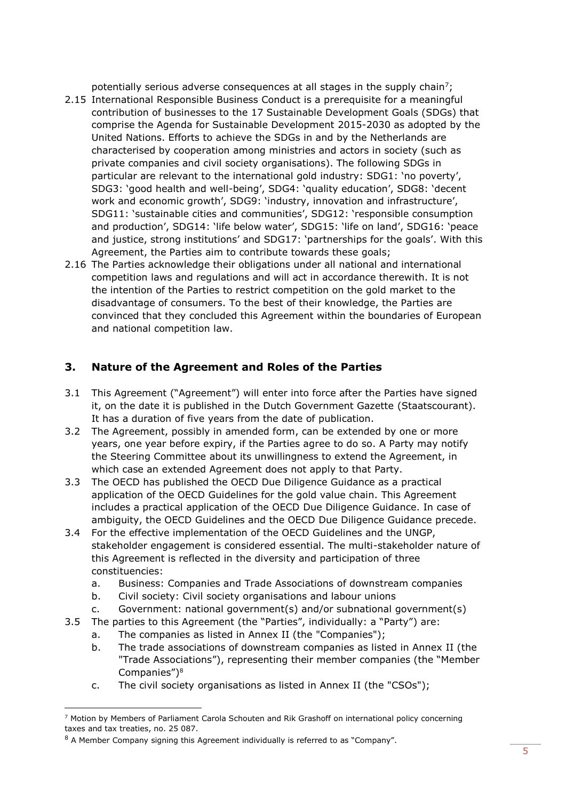potentially serious adverse consequences at all stages in the supply chain<sup>7</sup>;

- 2.15 International Responsible Business Conduct is a prerequisite for a meaningful contribution of businesses to the 17 Sustainable Development Goals (SDGs) that comprise the Agenda for Sustainable Development 2015-2030 as adopted by the United Nations. Efforts to achieve the SDGs in and by the Netherlands are characterised by cooperation among ministries and actors in society (such as private companies and civil society organisations). The following SDGs in particular are relevant to the international gold industry: SDG1: 'no poverty', SDG3: 'good health and well-being', SDG4: 'quality education', SDG8: 'decent work and economic growth', SDG9: 'industry, innovation and infrastructure', SDG11: 'sustainable cities and communities', SDG12: 'responsible consumption and production', SDG14: 'life below water', SDG15: 'life on land', SDG16: 'peace and justice, strong institutions' and SDG17: 'partnerships for the goals'. With this Agreement, the Parties aim to contribute towards these goals;
- 2.16 The Parties acknowledge their obligations under all national and international competition laws and regulations and will act in accordance therewith. It is not the intention of the Parties to restrict competition on the gold market to the disadvantage of consumers. To the best of their knowledge, the Parties are convinced that they concluded this Agreement within the boundaries of European and national competition law.

## <span id="page-5-0"></span>**3. Nature of the Agreement and Roles of the Parties**

- 3.1 This Agreement ("Agreement") will enter into force after the Parties have signed it, on the date it is published in the Dutch Government Gazette (Staatscourant). It has a duration of five years from the date of publication.
- 3.2 The Agreement, possibly in amended form, can be extended by one or more years, one year before expiry, if the Parties agree to do so. A Party may notify the Steering Committee about its unwillingness to extend the Agreement, in which case an extended Agreement does not apply to that Party.
- 3.3 The OECD has published the OECD Due Diligence Guidance as a practical application of the OECD Guidelines for the gold value chain. This Agreement includes a practical application of the OECD Due Diligence Guidance. In case of ambiguity, the OECD Guidelines and the OECD Due Diligence Guidance precede.
- 3.4 For the effective implementation of the OECD Guidelines and the UNGP, stakeholder engagement is considered essential. The multi-stakeholder nature of this Agreement is reflected in the diversity and participation of three constituencies:
	- a. Business: Companies and Trade Associations of downstream companies
	- b. Civil society: Civil society organisations and labour unions
	- c. Government: national government(s) and/or subnational government(s)
- 3.5 The parties to this Agreement (the "Parties", individually: a "Party") are:
	- a. The companies as listed in Annex II (the "Companies");
	- b. The trade associations of downstream companies as listed in Annex II (the "Trade Associations"), representing their member companies (the "Member Companies") 8
	- c. The civil society organisations as listed in Annex II (the "CSOs");

<sup>7</sup> Motion by Members of Parliament Carola Schouten and Rik Grashoff on international policy concerning taxes and tax treaties, no. 25 087.

<sup>&</sup>lt;sup>8</sup> A Member Company signing this Agreement individually is referred to as "Company".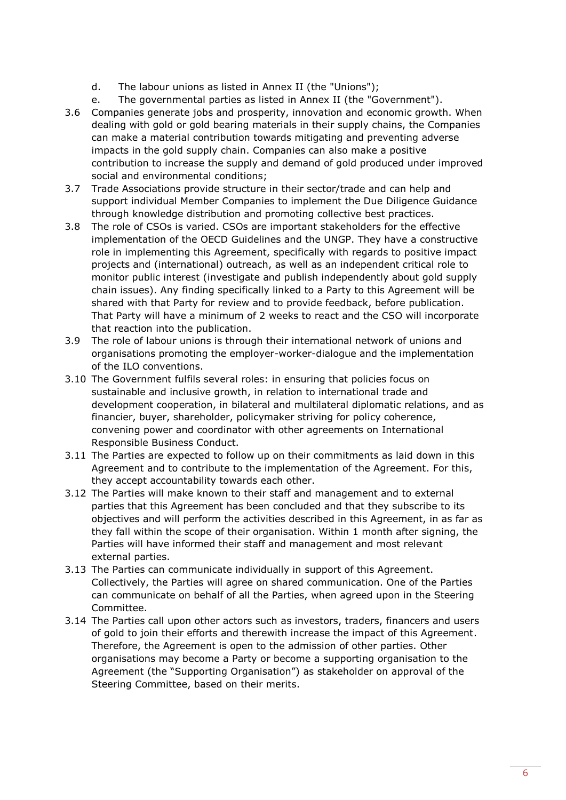- d. The labour unions as listed in Annex II (the "Unions");
- e. The governmental parties as listed in Annex II (the "Government").
- 3.6 Companies generate jobs and prosperity, innovation and economic growth. When dealing with gold or gold bearing materials in their supply chains, the Companies can make a material contribution towards mitigating and preventing adverse impacts in the gold supply chain. Companies can also make a positive contribution to increase the supply and demand of gold produced under improved social and environmental conditions;
- 3.7 Trade Associations provide structure in their sector/trade and can help and support individual Member Companies to implement the Due Diligence Guidance through knowledge distribution and promoting collective best practices.
- 3.8 The role of CSOs is varied. CSOs are important stakeholders for the effective implementation of the OECD Guidelines and the UNGP. They have a constructive role in implementing this Agreement, specifically with regards to positive impact projects and (international) outreach, as well as an independent critical role to monitor public interest (investigate and publish independently about gold supply chain issues). Any finding specifically linked to a Party to this Agreement will be shared with that Party for review and to provide feedback, before publication. That Party will have a minimum of 2 weeks to react and the CSO will incorporate that reaction into the publication.
- 3.9 The role of labour unions is through their international network of unions and organisations promoting the employer-worker-dialogue and the implementation of the ILO conventions.
- 3.10 The Government fulfils several roles: in ensuring that policies focus on sustainable and inclusive growth, in relation to international trade and development cooperation, in bilateral and multilateral diplomatic relations, and as financier, buyer, shareholder, policymaker striving for policy coherence, convening power and coordinator with other agreements on International Responsible Business Conduct.
- 3.11 The Parties are expected to follow up on their commitments as laid down in this Agreement and to contribute to the implementation of the Agreement. For this, they accept accountability towards each other.
- 3.12 The Parties will make known to their staff and management and to external parties that this Agreement has been concluded and that they subscribe to its objectives and will perform the activities described in this Agreement, in as far as they fall within the scope of their organisation. Within 1 month after signing, the Parties will have informed their staff and management and most relevant external parties.
- 3.13 The Parties can communicate individually in support of this Agreement. Collectively, the Parties will agree on shared communication. One of the Parties can communicate on behalf of all the Parties, when agreed upon in the Steering Committee.
- 3.14 The Parties call upon other actors such as investors, traders, financers and users of gold to join their efforts and therewith increase the impact of this Agreement. Therefore, the Agreement is open to the admission of other parties. Other organisations may become a Party or become a supporting organisation to the Agreement (the "Supporting Organisation") as stakeholder on approval of the Steering Committee, based on their merits.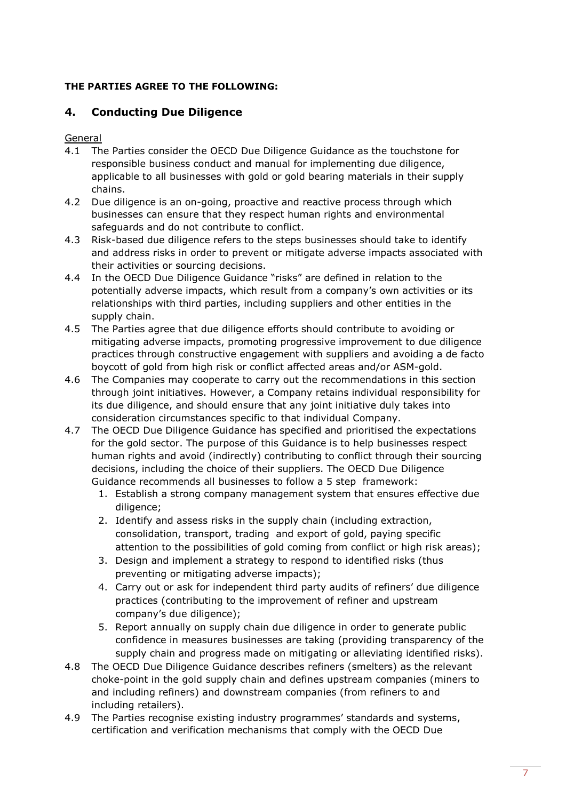## **THE PARTIES AGREE TO THE FOLLOWING:**

## <span id="page-7-0"></span>**4. Conducting Due Diligence**

General

- 4.1 The Parties consider the OECD Due Diligence Guidance as the touchstone for responsible business conduct and manual for implementing due diligence, applicable to all businesses with gold or gold bearing materials in their supply chains.
- 4.2 Due diligence is an on-going, proactive and reactive process through which businesses can ensure that they respect human rights and environmental safeguards and do not contribute to conflict.
- 4.3 Risk-based due diligence refers to the steps businesses should take to identify and address risks in order to prevent or mitigate adverse impacts associated with their activities or sourcing decisions.
- 4.4 In the OECD Due Diligence Guidance "risks" are defined in relation to the potentially adverse impacts, which result from a company's own activities or its relationships with third parties, including suppliers and other entities in the supply chain.
- 4.5 The Parties agree that due diligence efforts should contribute to avoiding or mitigating adverse impacts, promoting progressive improvement to due diligence practices through constructive engagement with suppliers and avoiding a de facto boycott of gold from high risk or conflict affected areas and/or ASM-gold.
- 4.6 The Companies may cooperate to carry out the recommendations in this section through joint initiatives. However, a Company retains individual responsibility for its due diligence, and should ensure that any joint initiative duly takes into consideration circumstances specific to that individual Company.
- 4.7 The OECD Due Diligence Guidance has specified and prioritised the expectations for the gold sector. The purpose of this Guidance is to help businesses respect human rights and avoid (indirectly) contributing to conflict through their sourcing decisions, including the choice of their suppliers. The OECD Due Diligence Guidance recommends all businesses to follow a 5 step framework:
	- 1. Establish a strong company management system that ensures effective due diligence;
	- 2. Identify and assess risks in the supply chain (including extraction, consolidation, transport, trading and export of gold, paying specific attention to the possibilities of gold coming from conflict or high risk areas);
	- 3. Design and implement a strategy to respond to identified risks (thus preventing or mitigating adverse impacts);
	- 4. Carry out or ask for independent third party audits of refiners' due diligence practices (contributing to the improvement of refiner and upstream company's due diligence);
	- 5. Report annually on supply chain due diligence in order to generate public confidence in measures businesses are taking (providing transparency of the supply chain and progress made on mitigating or alleviating identified risks).
- 4.8 The OECD Due Diligence Guidance describes refiners (smelters) as the relevant choke-point in the gold supply chain and defines upstream companies (miners to and including refiners) and downstream companies (from refiners to and including retailers).
- <span id="page-7-1"></span>4.9 The Parties recognise existing industry programmes' standards and systems, certification and verification mechanisms that comply with the OECD Due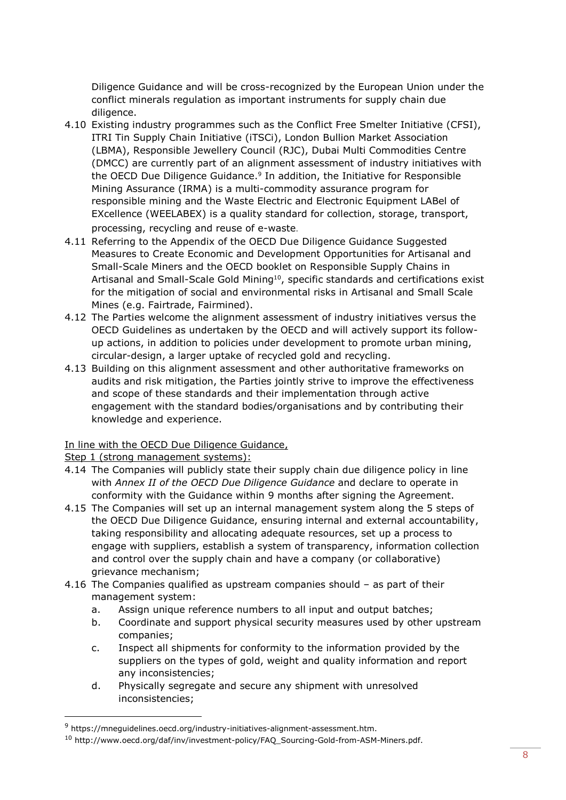Diligence Guidance and will be cross-recognized by the European Union under the conflict minerals regulation as important instruments for supply chain due diligence.

- 4.10 Existing industry programmes such as the Conflict Free Smelter Initiative (CFSI), ITRI Tin Supply Chain Initiative (iTSCi), London Bullion Market Association (LBMA), Responsible Jewellery Council (RJC), Dubai Multi Commodities Centre (DMCC) are currently part of an alignment assessment of industry initiatives with the OECD Due Diligence Guidance. 9 In addition, the Initiative for Responsible Mining Assurance (IRMA) is a multi-commodity assurance program for responsible mining and the Waste Electric and Electronic Equipment LABel of EXcellence (WEELABEX) is a quality standard for collection, storage, transport, processing, recycling and reuse of e-waste.
- 4.11 Referring to the Appendix of the OECD Due Diligence Guidance Suggested Measures to Create Economic and Development Opportunities for Artisanal and Small-Scale Miners and the OECD booklet on Responsible Supply Chains in Artisanal and Small-Scale Gold Mining<sup>10</sup>, specific standards and certifications exist for the mitigation of social and environmental risks in Artisanal and Small Scale Mines (e.g. Fairtrade, Fairmined).
- 4.12 The Parties welcome the alignment assessment of industry initiatives versus the OECD Guidelines as undertaken by the OECD and will actively support its followup actions, in addition to policies under development to promote urban mining, circular-design, a larger uptake of recycled gold and recycling.
- 4.13 Building on this alignment assessment and other authoritative frameworks on audits and risk mitigation, the Parties jointly strive to improve the effectiveness and scope of these standards and their implementation through active engagement with the standard bodies/organisations and by contributing their knowledge and experience.

## In line with the OECD Due Diligence Guidance,

Step 1 (strong management systems):

 $\overline{a}$ 

- 4.14 The Companies will publicly state their supply chain due diligence policy in line with *Annex II of the OECD Due Diligence Guidance* and declare to operate in conformity with the Guidance within 9 months after signing the Agreement.
- 4.15 The Companies will set up an internal management system along the 5 steps of the OECD Due Diligence Guidance, ensuring internal and external accountability, taking responsibility and allocating adequate resources, set up a process to engage with suppliers, establish a system of transparency, information collection and control over the supply chain and have a company (or collaborative) grievance mechanism;
- 4.16 The Companies qualified as upstream companies should as part of their management system:
	- a. Assign unique reference numbers to all input and output batches;
	- b. Coordinate and support physical security measures used by other upstream companies;
	- c. Inspect all shipments for conformity to the information provided by the suppliers on the types of gold, weight and quality information and report any inconsistencies;
	- d. Physically segregate and secure any shipment with unresolved inconsistencies;

<sup>9</sup> https://mneguidelines.oecd.org/industry-initiatives-alignment-assessment.htm.

<sup>&</sup>lt;sup>10</sup> http://www.oecd.org/daf/inv/investment-policy/FAQ\_Sourcing-Gold-from-ASM-Miners.pdf.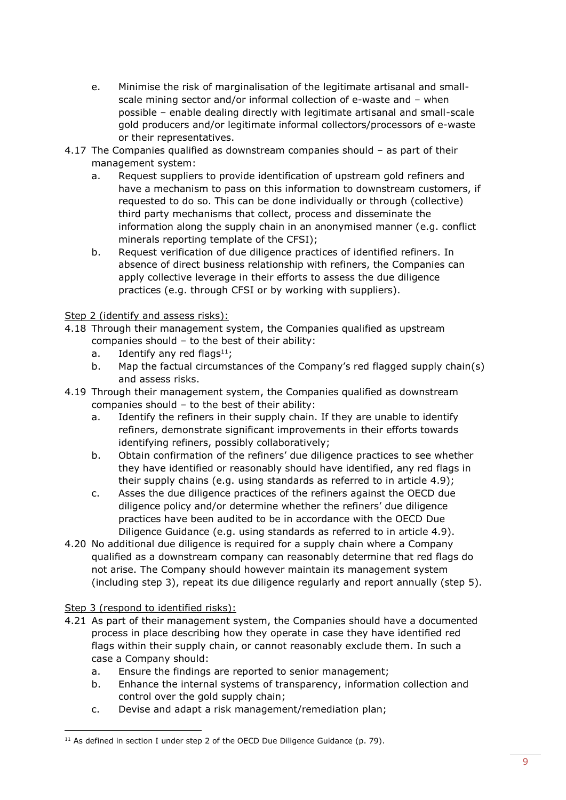- e. Minimise the risk of marginalisation of the legitimate artisanal and smallscale mining sector and/or informal collection of e-waste and – when possible – enable dealing directly with legitimate artisanal and small-scale gold producers and/or legitimate informal collectors/processors of e-waste or their representatives.
- 4.17 The Companies qualified as downstream companies should as part of their management system:
	- a. Request suppliers to provide identification of upstream gold refiners and have a mechanism to pass on this information to downstream customers, if requested to do so. This can be done individually or through (collective) third party mechanisms that collect, process and disseminate the information along the supply chain in an anonymised manner (e.g. conflict minerals reporting template of the CFSI);
	- b. Request verification of due diligence practices of identified refiners. In absence of direct business relationship with refiners, the Companies can apply collective leverage in their efforts to assess the due diligence practices (e.g. through CFSI or by working with suppliers).

## Step 2 (identify and assess risks):

- 4.18 Through their management system, the Companies qualified as upstream companies should – to the best of their ability:
	- a. Identify any red flags<sup>11</sup>;
	- b. Map the factual circumstances of the Company's red flagged supply chain(s) and assess risks.
- 4.19 Through their management system, the Companies qualified as downstream companies should – to the best of their ability:
	- a. Identify the refiners in their supply chain. If they are unable to identify refiners, demonstrate significant improvements in their efforts towards identifying refiners, possibly collaboratively;
	- b. Obtain confirmation of the refiners' due diligence practices to see whether they have identified or reasonably should have identified, any red flags in their supply chains (e.g. using standards as referred to in article [4.9\)](#page-7-1);
	- c. Asses the due diligence practices of the refiners against the OECD due diligence policy and/or determine whether the refiners' due diligence practices have been audited to be in accordance with the OECD Due Diligence Guidance (e.g. using standards as referred to in article [4.9\)](#page-7-1).
- 4.20 No additional due diligence is required for a supply chain where a Company qualified as a downstream company can reasonably determine that red flags do not arise. The Company should however maintain its management system (including step 3), repeat its due diligence regularly and report annually (step 5).

### Step 3 (respond to identified risks):

 $\overline{a}$ 

- 4.21 As part of their management system, the Companies should have a documented process in place describing how they operate in case they have identified red flags within their supply chain, or cannot reasonably exclude them. In such a case a Company should:
	- a. Ensure the findings are reported to senior management;
	- b. Enhance the internal systems of transparency, information collection and control over the gold supply chain;
	- c. Devise and adapt a risk management/remediation plan;

 $11$  As defined in section I under step 2 of the OECD Due Diligence Guidance (p. 79).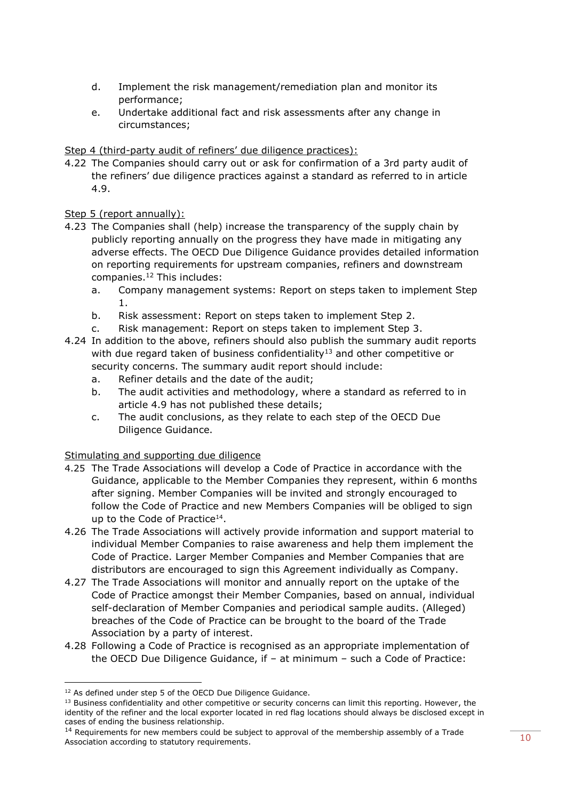- d. Implement the risk management/remediation plan and monitor its performance;
- e. Undertake additional fact and risk assessments after any change in circumstances;

Step 4 (third-party audit of refiners' due diligence practices):

4.22 The Companies should carry out or ask for confirmation of a 3rd party audit of the refiners' due diligence practices against a standard as referred to in article [4.9.](#page-7-1)

Step 5 (report annually):

- 4.23 The Companies shall (help) increase the transparency of the supply chain by publicly reporting annually on the progress they have made in mitigating any adverse effects. The OECD Due Diligence Guidance provides detailed information on reporting requirements for upstream companies, refiners and downstream companies. <sup>12</sup> This includes:
	- a. Company management systems: Report on steps taken to implement Step 1.
	- b. Risk assessment: Report on steps taken to implement Step 2.
	- c. Risk management: Report on steps taken to implement Step 3.
- 4.24 In addition to the above, refiners should also publish the summary audit reports with due regard taken of business confidentiality<sup>13</sup> and other competitive or security concerns. The summary audit report should include:
	- a. Refiner details and the date of the audit;
	- b. The audit activities and methodology, where a standard as referred to in article [4.9](#page-7-1) has not published these details;
	- c. The audit conclusions, as they relate to each step of the OECD Due Diligence Guidance.

## Stimulating and supporting due diligence

- 4.25 The Trade Associations will develop a Code of Practice in accordance with the Guidance, applicable to the Member Companies they represent, within 6 months after signing. Member Companies will be invited and strongly encouraged to follow the Code of Practice and new Members Companies will be obliged to sign up to the Code of Practice<sup>14</sup>.
- 4.26 The Trade Associations will actively provide information and support material to individual Member Companies to raise awareness and help them implement the Code of Practice. Larger Member Companies and Member Companies that are distributors are encouraged to sign this Agreement individually as Company.
- 4.27 The Trade Associations will monitor and annually report on the uptake of the Code of Practice amongst their Member Companies, based on annual, individual self-declaration of Member Companies and periodical sample audits. (Alleged) breaches of the Code of Practice can be brought to the board of the Trade Association by a party of interest.
- 4.28 Following a Code of Practice is recognised as an appropriate implementation of the OECD Due Diligence Guidance, if – at minimum – such a Code of Practice:

<sup>&</sup>lt;sup>12</sup> As defined under step 5 of the OECD Due Diligence Guidance.

<sup>&</sup>lt;sup>13</sup> Business confidentiality and other competitive or security concerns can limit this reporting. However, the identity of the refiner and the local exporter located in red flag locations should always be disclosed except in cases of ending the business relationship.

<sup>&</sup>lt;sup>14</sup> Requirements for new members could be subject to approval of the membership assembly of a Trade Association according to statutory requirements.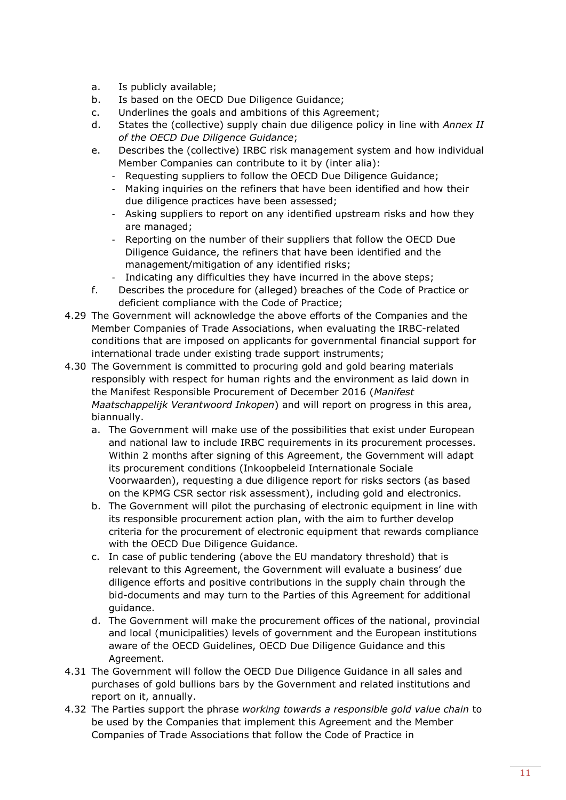- a. Is publicly available;
- b. Is based on the OECD Due Diligence Guidance;
- c. Underlines the goals and ambitions of this Agreement;
- d. States the (collective) supply chain due diligence policy in line with *Annex II of the OECD Due Diligence Guidance*;
- e. Describes the (collective) IRBC risk management system and how individual Member Companies can contribute to it by (inter alia):
	- Requesting suppliers to follow the OECD Due Diligence Guidance;
	- Making inquiries on the refiners that have been identified and how their due diligence practices have been assessed;
	- Asking suppliers to report on any identified upstream risks and how they are managed;
	- Reporting on the number of their suppliers that follow the OECD Due Diligence Guidance, the refiners that have been identified and the management/mitigation of any identified risks;
	- Indicating any difficulties they have incurred in the above steps;
- f. Describes the procedure for (alleged) breaches of the Code of Practice or deficient compliance with the Code of Practice;
- 4.29 The Government will acknowledge the above efforts of the Companies and the Member Companies of Trade Associations, when evaluating the IRBC-related conditions that are imposed on applicants for governmental financial support for international trade under existing trade support instruments;
- 4.30 The Government is committed to procuring gold and gold bearing materials responsibly with respect for human rights and the environment as laid down in the Manifest Responsible Procurement of December 2016 (*Manifest Maatschappelijk Verantwoord Inkopen*) and will report on progress in this area, biannually.
	- a. The Government will make use of the possibilities that exist under European and national law to include IRBC requirements in its procurement processes. Within 2 months after signing of this Agreement, the Government will adapt its procurement conditions (Inkoopbeleid Internationale Sociale Voorwaarden), requesting a due diligence report for risks sectors (as based on the KPMG CSR sector risk assessment), including gold and electronics.
	- b. The Government will pilot the purchasing of electronic equipment in line with its responsible procurement action plan, with the aim to further develop criteria for the procurement of electronic equipment that rewards compliance with the OECD Due Diligence Guidance.
	- c. In case of public tendering (above the EU mandatory threshold) that is relevant to this Agreement, the Government will evaluate a business' due diligence efforts and positive contributions in the supply chain through the bid-documents and may turn to the Parties of this Agreement for additional guidance.
	- d. The Government will make the procurement offices of the national, provincial and local (municipalities) levels of government and the European institutions aware of the OECD Guidelines, OECD Due Diligence Guidance and this Agreement.
- 4.31 The Government will follow the OECD Due Diligence Guidance in all sales and purchases of gold bullions bars by the Government and related institutions and report on it, annually.
- 4.32 The Parties support the phrase *working towards a responsible gold value chain* to be used by the Companies that implement this Agreement and the Member Companies of Trade Associations that follow the Code of Practice in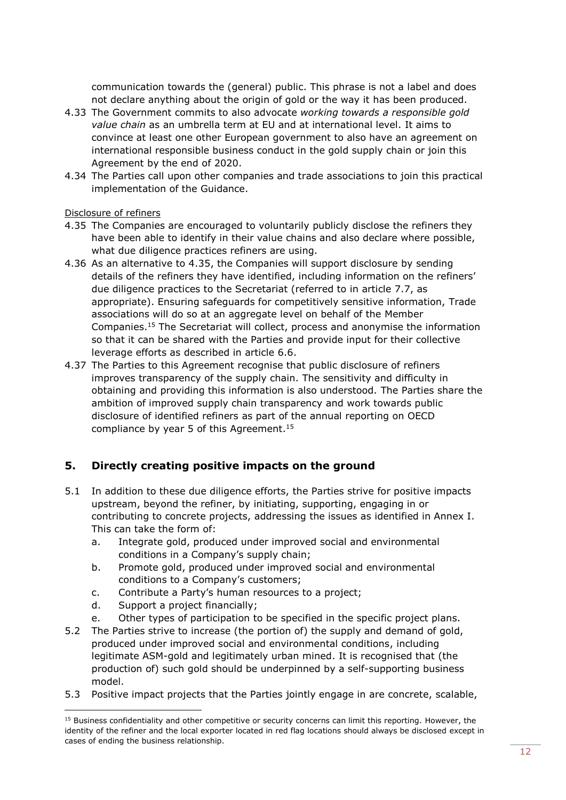communication towards the (general) public. This phrase is not a label and does not declare anything about the origin of gold or the way it has been produced.

- 4.33 The Government commits to also advocate *working towards a responsible gold value chain* as an umbrella term at EU and at international level. It aims to convince at least one other European government to also have an agreement on international responsible business conduct in the gold supply chain or join this Agreement by the end of 2020.
- 4.34 The Parties call upon other companies and trade associations to join this practical implementation of the Guidance.

#### Disclosure of refiners

- 4.35 The Companies are encouraged to voluntarily publicly disclose the refiners they have been able to identify in their value chains and also declare where possible, what due diligence practices refiners are using.
- 4.36 As an alternative to 4.35, the Companies will support disclosure by sending details of the refiners they have identified, including information on the refiners' due diligence practices to the Secretariat (referred to in article [7.7,](#page-16-0) as appropriate). Ensuring safeguards for competitively sensitive information, Trade associations will do so at an aggregate level on behalf of the Member Companies.<sup>15</sup> The Secretariat will collect, process and anonymise the information so that it can be shared with the Parties and provide input for their collective leverage efforts as described in article [6.6.](#page-14-0)
- <span id="page-12-1"></span>4.37 The Parties to this Agreement recognise that public disclosure of refiners improves transparency of the supply chain. The sensitivity and difficulty in obtaining and providing this information is also understood. The Parties share the ambition of improved supply chain transparency and work towards public disclosure of identified refiners as part of the annual reporting on OECD compliance by year 5 of this Agreement. [15](#page-12-1)

## <span id="page-12-0"></span>**5. Directly creating positive impacts on the ground**

- 5.1 In addition to these due diligence efforts, the Parties strive for positive impacts upstream, beyond the refiner, by initiating, supporting, engaging in or contributing to concrete projects, addressing the issues as identified in Annex I. This can take the form of:
	- a. Integrate gold, produced under improved social and environmental conditions in a Company's supply chain;
	- b. Promote gold, produced under improved social and environmental conditions to a Company's customers;
	- c. Contribute a Party's human resources to a project;
	- d. Support a project financially;

- e. Other types of participation to be specified in the specific project plans.
- 5.2 The Parties strive to increase (the portion of) the supply and demand of gold, produced under improved social and environmental conditions, including legitimate ASM-gold and legitimately urban mined. It is recognised that (the production of) such gold should be underpinned by a self-supporting business model.
- 5.3 Positive impact projects that the Parties jointly engage in are concrete, scalable,

<sup>&</sup>lt;sup>15</sup> Business confidentiality and other competitive or security concerns can limit this reporting. However, the identity of the refiner and the local exporter located in red flag locations should always be disclosed except in cases of ending the business relationship.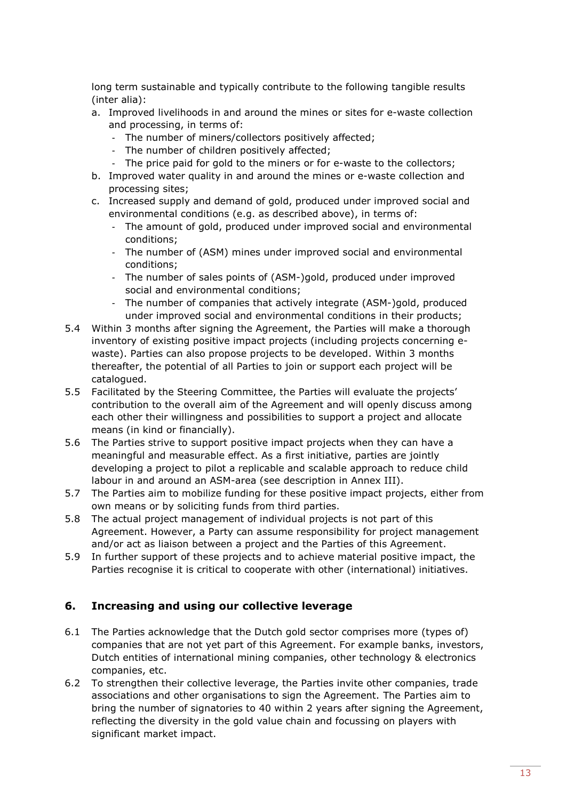long term sustainable and typically contribute to the following tangible results (inter alia):

- a. Improved livelihoods in and around the mines or sites for e-waste collection and processing, in terms of:
	- The number of miners/collectors positively affected;
	- The number of children positively affected;
	- The price paid for gold to the miners or for e-waste to the collectors;
- b. Improved water quality in and around the mines or e-waste collection and processing sites;
- c. Increased supply and demand of gold, produced under improved social and environmental conditions (e.g. as described above), in terms of:
	- The amount of gold, produced under improved social and environmental conditions;
	- The number of (ASM) mines under improved social and environmental conditions;
	- The number of sales points of (ASM-)gold, produced under improved social and environmental conditions;
	- The number of companies that actively integrate (ASM-)gold, produced under improved social and environmental conditions in their products;
- 5.4 Within 3 months after signing the Agreement, the Parties will make a thorough inventory of existing positive impact projects (including projects concerning ewaste). Parties can also propose projects to be developed. Within 3 months thereafter, the potential of all Parties to join or support each project will be catalogued.
- 5.5 Facilitated by the Steering Committee, the Parties will evaluate the projects' contribution to the overall aim of the Agreement and will openly discuss among each other their willingness and possibilities to support a project and allocate means (in kind or financially).
- 5.6 The Parties strive to support positive impact projects when they can have a meaningful and measurable effect. As a first initiative, parties are jointly developing a project to pilot a replicable and scalable approach to reduce child labour in and around an ASM-area (see description in Annex III).
- 5.7 The Parties aim to mobilize funding for these positive impact projects, either from own means or by soliciting funds from third parties.
- 5.8 The actual project management of individual projects is not part of this Agreement. However, a Party can assume responsibility for project management and/or act as liaison between a project and the Parties of this Agreement.
- 5.9 In further support of these projects and to achieve material positive impact, the Parties recognise it is critical to cooperate with other (international) initiatives.

## <span id="page-13-0"></span>**6. Increasing and using our collective leverage**

- 6.1 The Parties acknowledge that the Dutch gold sector comprises more (types of) companies that are not yet part of this Agreement. For example banks, investors, Dutch entities of international mining companies, other technology & electronics companies, etc.
- 6.2 To strengthen their collective leverage, the Parties invite other companies, trade associations and other organisations to sign the Agreement. The Parties aim to bring the number of signatories to 40 within 2 years after signing the Agreement, reflecting the diversity in the gold value chain and focussing on players with significant market impact.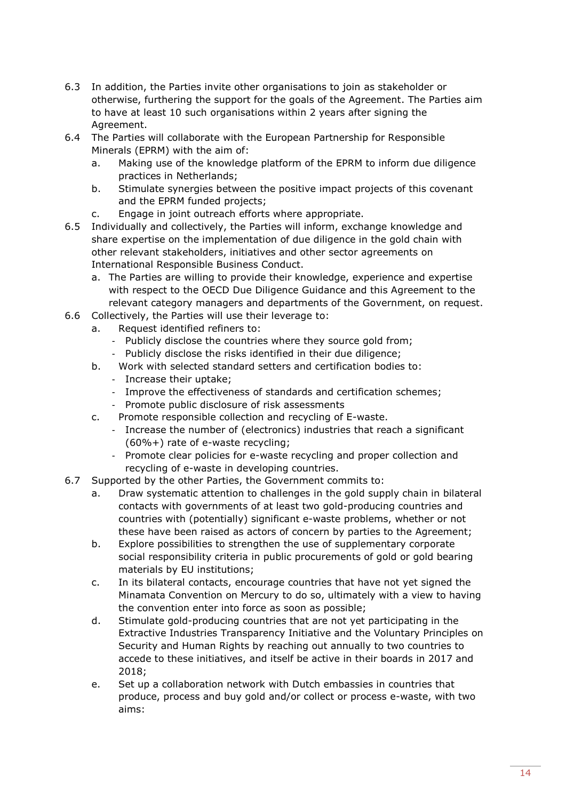- 6.3 In addition, the Parties invite other organisations to join as stakeholder or otherwise, furthering the support for the goals of the Agreement. The Parties aim to have at least 10 such organisations within 2 years after signing the Agreement.
- 6.4 The Parties will collaborate with the European Partnership for Responsible Minerals (EPRM) with the aim of:
	- a. Making use of the knowledge platform of the EPRM to inform due diligence practices in Netherlands;
	- b. Stimulate synergies between the positive impact projects of this covenant and the EPRM funded projects;
	- c. Engage in joint outreach efforts where appropriate.
- 6.5 Individually and collectively, the Parties will inform, exchange knowledge and share expertise on the implementation of due diligence in the gold chain with other relevant stakeholders, initiatives and other sector agreements on International Responsible Business Conduct.
	- a. The Parties are willing to provide their knowledge, experience and expertise with respect to the OECD Due Diligence Guidance and this Agreement to the relevant category managers and departments of the Government, on request.
- <span id="page-14-0"></span>6.6 Collectively, the Parties will use their leverage to:
	- a. Request identified refiners to:
		- Publicly disclose the countries where they source gold from;
		- Publicly disclose the risks identified in their due diligence;
	- b. Work with selected standard setters and certification bodies to:
		- Increase their uptake;
		- Improve the effectiveness of standards and certification schemes;
		- Promote public disclosure of risk assessments
	- c. Promote responsible collection and recycling of E-waste.
		- Increase the number of (electronics) industries that reach a significant (60%+) rate of e-waste recycling;
		- Promote clear policies for e-waste recycling and proper collection and recycling of e-waste in developing countries.
- 6.7 Supported by the other Parties, the Government commits to:
	- a. Draw systematic attention to challenges in the gold supply chain in bilateral contacts with governments of at least two gold-producing countries and countries with (potentially) significant e-waste problems, whether or not these have been raised as actors of concern by parties to the Agreement;
	- b. Explore possibilities to strengthen the use of supplementary corporate social responsibility criteria in public procurements of gold or gold bearing materials by EU institutions;
	- c. In its bilateral contacts, encourage countries that have not yet signed the Minamata Convention on Mercury to do so, ultimately with a view to having the convention enter into force as soon as possible;
	- d. Stimulate gold-producing countries that are not yet participating in the Extractive Industries Transparency Initiative and the Voluntary Principles on Security and Human Rights by reaching out annually to two countries to accede to these initiatives, and itself be active in their boards in 2017 and 2018;
	- e. Set up a collaboration network with Dutch embassies in countries that produce, process and buy gold and/or collect or process e-waste, with two aims: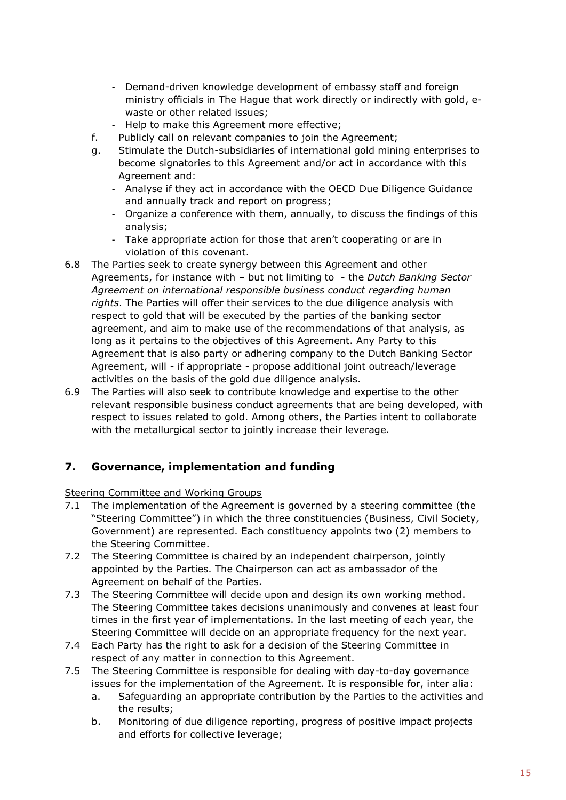- Demand-driven knowledge development of embassy staff and foreign ministry officials in The Hague that work directly or indirectly with gold, ewaste or other related issues;
- Help to make this Agreement more effective;
- f. Publicly call on relevant companies to join the Agreement;
- g. Stimulate the Dutch-subsidiaries of international gold mining enterprises to become signatories to this Agreement and/or act in accordance with this Agreement and:
	- Analyse if they act in accordance with the OECD Due Diligence Guidance and annually track and report on progress;
	- Organize a conference with them, annually, to discuss the findings of this analysis;
	- Take appropriate action for those that aren't cooperating or are in violation of this covenant.
- 6.8 The Parties seek to create synergy between this Agreement and other Agreements, for instance with – but not limiting to - the *Dutch Banking Sector Agreement on international responsible business conduct regarding human rights*. The Parties will offer their services to the due diligence analysis with respect to gold that will be executed by the parties of the banking sector agreement, and aim to make use of the recommendations of that analysis, as long as it pertains to the objectives of this Agreement. Any Party to this Agreement that is also party or adhering company to the Dutch Banking Sector Agreement, will - if appropriate - propose additional joint outreach/leverage activities on the basis of the gold due diligence analysis.
- 6.9 The Parties will also seek to contribute knowledge and expertise to the other relevant responsible business conduct agreements that are being developed, with respect to issues related to gold. Among others, the Parties intent to collaborate with the metallurgical sector to jointly increase their leverage.

## <span id="page-15-0"></span>**7. Governance, implementation and funding**

### Steering Committee and Working Groups

- 7.1 The implementation of the Agreement is governed by a steering committee (the "Steering Committee") in which the three constituencies (Business, Civil Society, Government) are represented. Each constituency appoints two (2) members to the Steering Committee.
- 7.2 The Steering Committee is chaired by an independent chairperson, jointly appointed by the Parties. The Chairperson can act as ambassador of the Agreement on behalf of the Parties.
- 7.3 The Steering Committee will decide upon and design its own working method. The Steering Committee takes decisions unanimously and convenes at least four times in the first year of implementations. In the last meeting of each year, the Steering Committee will decide on an appropriate frequency for the next year.
- 7.4 Each Party has the right to ask for a decision of the Steering Committee in respect of any matter in connection to this Agreement.
- 7.5 The Steering Committee is responsible for dealing with day-to-day governance issues for the implementation of the Agreement. It is responsible for, inter alia:
	- a. Safeguarding an appropriate contribution by the Parties to the activities and the results;
	- b. Monitoring of due diligence reporting, progress of positive impact projects and efforts for collective leverage;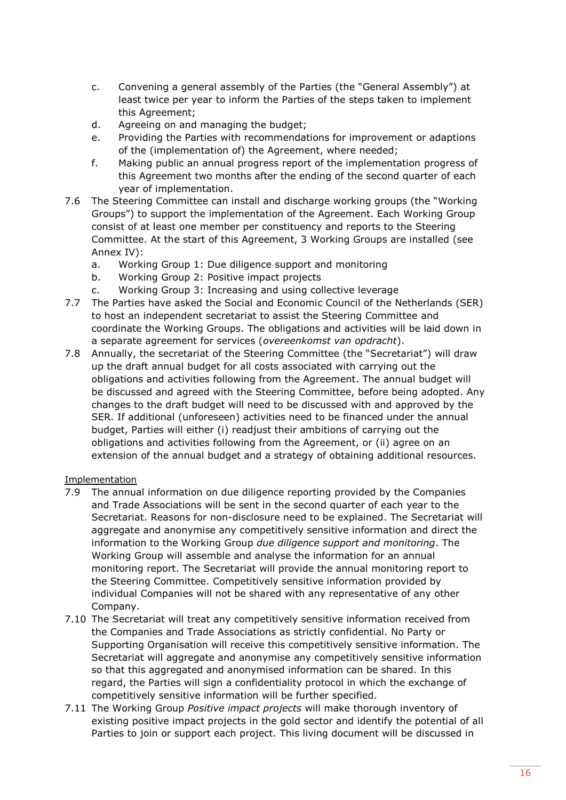- c. Convening a general assembly of the Parties (the "General Assembly") at least twice per year to inform the Parties of the steps taken to implement this Agreement;
- d. Agreeing on and managing the budget;
- e. Providing the Parties with recommendations for improvement or adaptions of the (implementation of) the Agreement, where needed;
- f. Making public an annual progress report of the implementation progress of this Agreement two months after the ending of the second quarter of each year of implementation.
- 7.6 The Steering Committee can install and discharge working groups (the "Working Groups") to support the implementation of the Agreement. Each Working Group consist of at least one member per constituency and reports to the Steering Committee. At the start of this Agreement, 3 Working Groups are installed (see Annex IV):
	- a. Working Group 1: Due diligence support and monitoring
	- b. Working Group 2: Positive impact projects
	- c. Working Group 3: Increasing and using collective leverage
- <span id="page-16-0"></span>7.7 The Parties have asked the Social and Economic Council of the Netherlands (SER) to host an independent secretariat to assist the Steering Committee and coordinate the Working Groups. The obligations and activities will be laid down in a separate agreement for services (*overeenkomst van opdracht*).
- 7.8 Annually, the secretariat of the Steering Committee (the "Secretariat") will draw up the draft annual budget for all costs associated with carrying out the obligations and activities following from the Agreement. The annual budget will be discussed and agreed with the Steering Committee, before being adopted. Any changes to the draft budget will need to be discussed with and approved by the SER. If additional (unforeseen) activities need to be financed under the annual budget, Parties will either (i) readjust their ambitions of carrying out the obligations and activities following from the Agreement, or (ii) agree on an extension of the annual budget and a strategy of obtaining additional resources.

### **Implementation**

- 7.9 The annual information on due diligence reporting provided by the Companies and Trade Associations will be sent in the second quarter of each year to the Secretariat. Reasons for non-disclosure need to be explained. The Secretariat will aggregate and anonymise any competitively sensitive information and direct the information to the Working Group *due diligence support and monitoring*. The Working Group will assemble and analyse the information for an annual monitoring report. The Secretariat will provide the annual monitoring report to the Steering Committee. Competitively sensitive information provided by individual Companies will not be shared with any representative of any other Company.
- 7.10 The Secretariat will treat any competitively sensitive information received from the Companies and Trade Associations as strictly confidential. No Party or Supporting Organisation will receive this competitively sensitive information. The Secretariat will aggregate and anonymise any competitively sensitive information so that this aggregated and anonymised information can be shared. In this regard, the Parties will sign a confidentiality protocol in which the exchange of competitively sensitive information will be further specified.
- 7.11 The Working Group *Positive impact projects* will make thorough inventory of existing positive impact projects in the gold sector and identify the potential of all Parties to join or support each project. This living document will be discussed in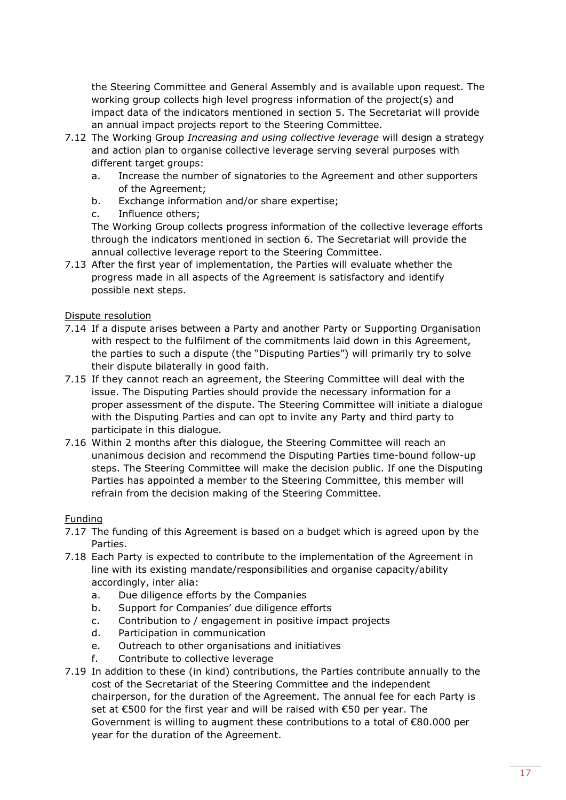the Steering Committee and General Assembly and is available upon request. The working group collects high level progress information of the project(s) and impact data of the indicators mentioned in section [5.](#page-12-0) The Secretariat will provide an annual impact projects report to the Steering Committee.

- 7.12 The Working Group *Increasing and using collective leverage* will design a strategy and action plan to organise collective leverage serving several purposes with different target groups:
	- a. Increase the number of signatories to the Agreement and other supporters of the Agreement;
	- b. Exchange information and/or share expertise;
	- c. Influence others;

The Working Group collects progress information of the collective leverage efforts through the indicators mentioned in section [6.](#page-13-0) The Secretariat will provide the annual collective leverage report to the Steering Committee.

7.13 After the first year of implementation, the Parties will evaluate whether the progress made in all aspects of the Agreement is satisfactory and identify possible next steps.

## Dispute resolution

- <span id="page-17-0"></span>7.14 If a dispute arises between a Party and another Party or Supporting Organisation with respect to the fulfilment of the commitments laid down in this Agreement, the parties to such a dispute (the "Disputing Parties") will primarily try to solve their dispute bilaterally in good faith.
- 7.15 If they cannot reach an agreement, the Steering Committee will deal with the issue. The Disputing Parties should provide the necessary information for a proper assessment of the dispute. The Steering Committee will initiate a dialogue with the Disputing Parties and can opt to invite any Party and third party to participate in this dialogue.
- <span id="page-17-1"></span>7.16 Within 2 months after this dialogue, the Steering Committee will reach an unanimous decision and recommend the Disputing Parties time-bound follow-up steps. The Steering Committee will make the decision public. If one the Disputing Parties has appointed a member to the Steering Committee, this member will refrain from the decision making of the Steering Committee.

### Funding

- 7.17 The funding of this Agreement is based on a budget which is agreed upon by the Parties.
- 7.18 Each Party is expected to contribute to the implementation of the Agreement in line with its existing mandate/responsibilities and organise capacity/ability accordingly, inter alia:
	- a. Due diligence efforts by the Companies
	- b. Support for Companies' due diligence efforts
	- c. Contribution to / engagement in positive impact projects
	- d. Participation in communication
	- e. Outreach to other organisations and initiatives
	- f. Contribute to collective leverage
- 7.19 In addition to these (in kind) contributions, the Parties contribute annually to the cost of the Secretariat of the Steering Committee and the independent chairperson, for the duration of the Agreement. The annual fee for each Party is set at €500 for the first year and will be raised with €50 per year. The Government is willing to augment these contributions to a total of €80.000 per year for the duration of the Agreement.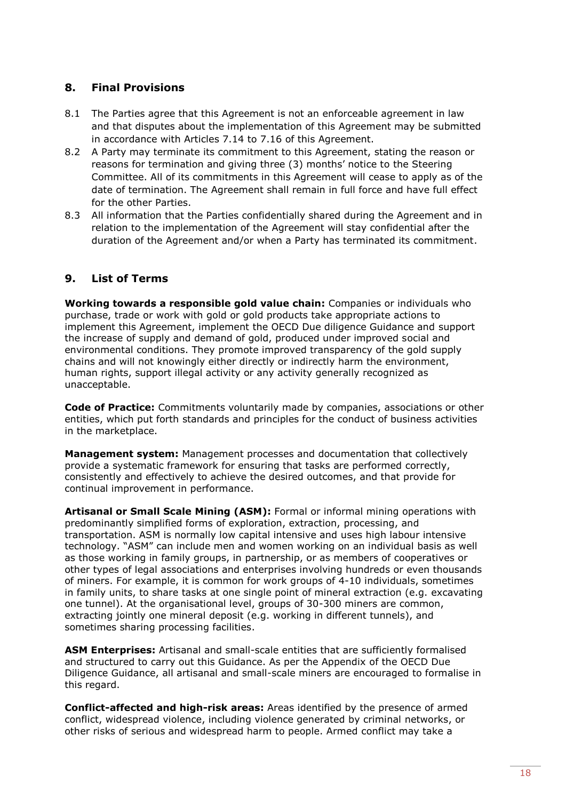## <span id="page-18-0"></span>**8. Final Provisions**

- 8.1 The Parties agree that this Agreement is not an enforceable agreement in law and that disputes about the implementation of this Agreement may be submitted in accordance with Articles [7.14](#page-17-0) to [7.16](#page-17-1) of this Agreement.
- 8.2 A Party may terminate its commitment to this Agreement, stating the reason or reasons for termination and giving three (3) months' notice to the Steering Committee. All of its commitments in this Agreement will cease to apply as of the date of termination. The Agreement shall remain in full force and have full effect for the other Parties.
- 8.3 All information that the Parties confidentially shared during the Agreement and in relation to the implementation of the Agreement will stay confidential after the duration of the Agreement and/or when a Party has terminated its commitment.

## <span id="page-18-1"></span>**9. List of Terms**

**Working towards a responsible gold value chain:** Companies or individuals who purchase, trade or work with gold or gold products take appropriate actions to implement this Agreement, implement the OECD Due diligence Guidance and support the increase of supply and demand of gold, produced under improved social and environmental conditions. They promote improved transparency of the gold supply chains and will not knowingly either directly or indirectly harm the environment, human rights, support illegal activity or any activity generally recognized as unacceptable.

**Code of Practice:** Commitments voluntarily made by companies, associations or other entities, which put forth standards and principles for the conduct of business activities in the marketplace.

**Management system:** Management processes and documentation that collectively provide a systematic framework for ensuring that tasks are performed correctly, consistently and effectively to achieve the desired outcomes, and that provide for continual improvement in performance.

**Artisanal or Small Scale Mining (ASM):** Formal or informal mining operations with predominantly simplified forms of exploration, extraction, processing, and transportation. ASM is normally low capital intensive and uses high labour intensive technology. "ASM" can include men and women working on an individual basis as well as those working in family groups, in partnership, or as members of cooperatives or other types of legal associations and enterprises involving hundreds or even thousands of miners. For example, it is common for work groups of 4-10 individuals, sometimes in family units, to share tasks at one single point of mineral extraction (e.g. excavating one tunnel). At the organisational level, groups of 30-300 miners are common, extracting jointly one mineral deposit (e.g. working in different tunnels), and sometimes sharing processing facilities.

**ASM Enterprises:** Artisanal and small-scale entities that are sufficiently formalised and structured to carry out this Guidance. As per the Appendix of the OECD Due Diligence Guidance, all artisanal and small-scale miners are encouraged to formalise in this regard.

**Conflict-affected and high-risk areas:** Areas identified by the presence of armed conflict, widespread violence, including violence generated by criminal networks, or other risks of serious and widespread harm to people. Armed conflict may take a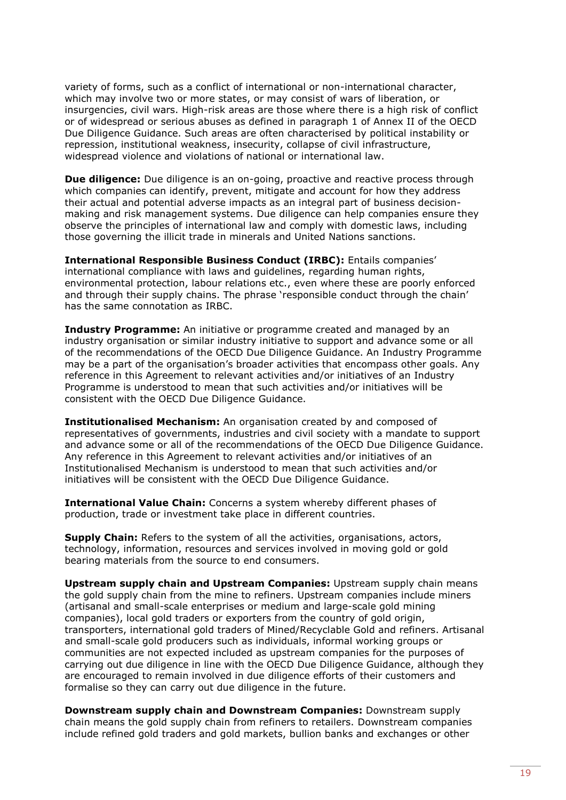variety of forms, such as a conflict of international or non-international character, which may involve two or more states, or may consist of wars of liberation, or insurgencies, civil wars. High-risk areas are those where there is a high risk of conflict or of widespread or serious abuses as defined in paragraph 1 of Annex II of the OECD Due Diligence Guidance. Such areas are often characterised by political instability or repression, institutional weakness, insecurity, collapse of civil infrastructure, widespread violence and violations of national or international law.

**Due diligence:** Due diligence is an on-going, proactive and reactive process through which companies can identify, prevent, mitigate and account for how they address their actual and potential adverse impacts as an integral part of business decisionmaking and risk management systems. Due diligence can help companies ensure they observe the principles of international law and comply with domestic laws, including those governing the illicit trade in minerals and United Nations sanctions.

**International Responsible Business Conduct (IRBC):** Entails companies' international compliance with laws and guidelines, regarding human rights, environmental protection, labour relations etc., even where these are poorly enforced and through their supply chains. The phrase 'responsible conduct through the chain' has the same connotation as IRBC.

**Industry Programme:** An initiative or programme created and managed by an industry organisation or similar industry initiative to support and advance some or all of the recommendations of the OECD Due Diligence Guidance. An Industry Programme may be a part of the organisation's broader activities that encompass other goals. Any reference in this Agreement to relevant activities and/or initiatives of an Industry Programme is understood to mean that such activities and/or initiatives will be consistent with the OECD Due Diligence Guidance.

**Institutionalised Mechanism:** An organisation created by and composed of representatives of governments, industries and civil society with a mandate to support and advance some or all of the recommendations of the OECD Due Diligence Guidance. Any reference in this Agreement to relevant activities and/or initiatives of an Institutionalised Mechanism is understood to mean that such activities and/or initiatives will be consistent with the OECD Due Diligence Guidance.

**International Value Chain:** Concerns a system whereby different phases of production, trade or investment take place in different countries.

**Supply Chain:** Refers to the system of all the activities, organisations, actors, technology, information, resources and services involved in moving gold or gold bearing materials from the source to end consumers.

**Upstream supply chain and Upstream Companies:** Upstream supply chain means the gold supply chain from the mine to refiners. Upstream companies include miners (artisanal and small-scale enterprises or medium and large-scale gold mining companies), local gold traders or exporters from the country of gold origin, transporters, international gold traders of Mined/Recyclable Gold and refiners. Artisanal and small-scale gold producers such as individuals, informal working groups or communities are not expected included as upstream companies for the purposes of carrying out due diligence in line with the OECD Due Diligence Guidance, although they are encouraged to remain involved in due diligence efforts of their customers and formalise so they can carry out due diligence in the future.

**Downstream supply chain and Downstream Companies:** Downstream supply chain means the gold supply chain from refiners to retailers. Downstream companies include refined gold traders and gold markets, bullion banks and exchanges or other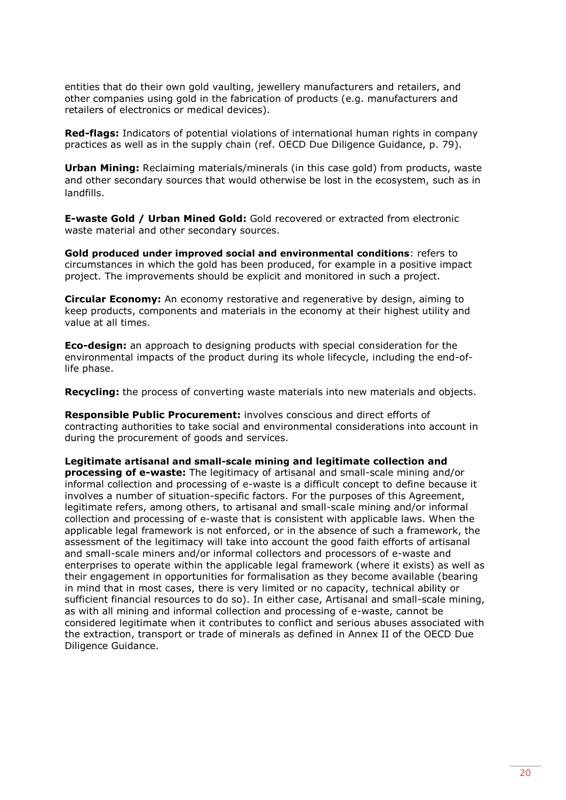entities that do their own gold vaulting, jewellery manufacturers and retailers, and other companies using gold in the fabrication of products (e.g. manufacturers and retailers of electronics or medical devices).

**Red-flags:** Indicators of potential violations of international human rights in company practices as well as in the supply chain (ref. OECD Due Diligence Guidance, p. 79).

**Urban Mining:** Reclaiming materials/minerals (in this case gold) from products, waste and other secondary sources that would otherwise be lost in the ecosystem, such as in landfills.

**E-waste Gold / Urban Mined Gold:** Gold recovered or extracted from electronic waste material and other secondary sources.

**Gold produced under improved social and environmental conditions**: refers to circumstances in which the gold has been produced, for example in a positive impact project. The improvements should be explicit and monitored in such a project.

**Circular Economy:** An economy restorative and regenerative by design, aiming to keep products, components and materials in the economy at their highest utility and value at all times.

**Eco-design:** an approach to designing products with special consideration for the environmental impacts of the product during its whole lifecycle, including the end-oflife phase.

**Recycling:** the process of converting waste materials into new materials and objects.

**Responsible Public Procurement:** involves conscious and direct efforts of contracting authorities to take social and environmental considerations into account in during the procurement of goods and services.

**Legitimate artisanal and small-scale mining and legitimate collection and processing of e-waste:** The legitimacy of artisanal and small-scale mining and/or informal collection and processing of e-waste is a difficult concept to define because it involves a number of situation-specific factors. For the purposes of this Agreement, legitimate refers, among others, to artisanal and small-scale mining and/or informal collection and processing of e-waste that is consistent with applicable laws. When the applicable legal framework is not enforced, or in the absence of such a framework, the assessment of the legitimacy will take into account the good faith efforts of artisanal and small-scale miners and/or informal collectors and processors of e-waste and enterprises to operate within the applicable legal framework (where it exists) as well as their engagement in opportunities for formalisation as they become available (bearing in mind that in most cases, there is very limited or no capacity, technical ability or sufficient financial resources to do so). In either case, Artisanal and small-scale mining, as with all mining and informal collection and processing of e-waste, cannot be considered legitimate when it contributes to conflict and serious abuses associated with the extraction, transport or trade of minerals as defined in Annex II of the OECD Due Diligence Guidance.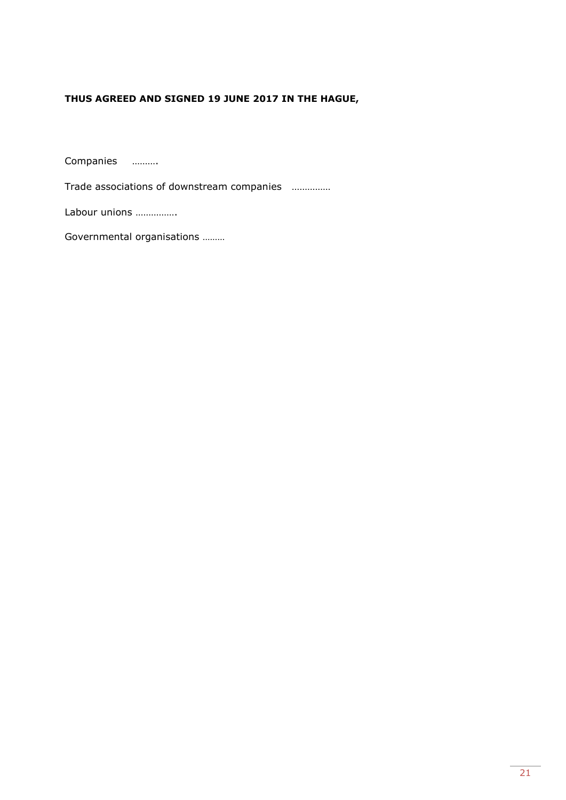## **THUS AGREED AND SIGNED 19 JUNE 2017 IN THE HAGUE,**

Companies ……….

Trade associations of downstream companies ……………

Labour unions …………….

Governmental organisations ………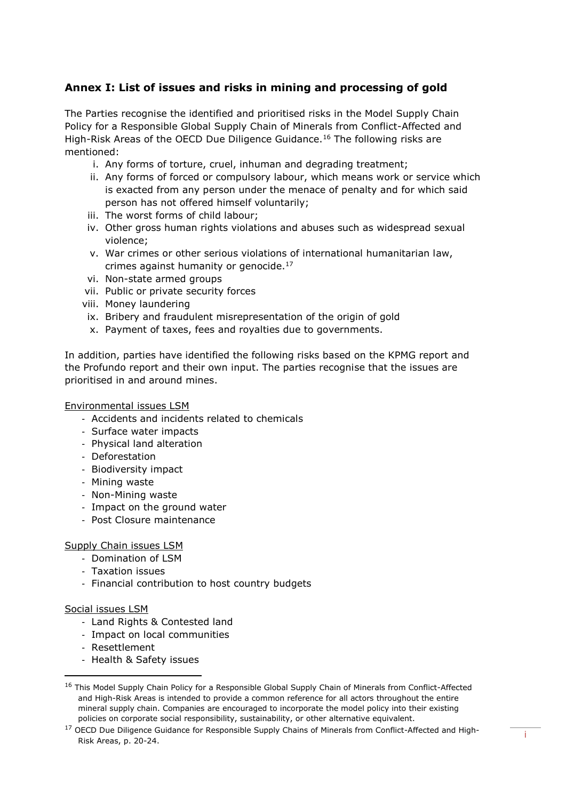## <span id="page-22-0"></span>**Annex I: List of issues and risks in mining and processing of gold**

The Parties recognise the identified and prioritised risks in the Model Supply Chain Policy for a Responsible Global Supply Chain of Minerals from Conflict-Affected and High-Risk Areas of the OECD Due Diligence Guidance.<sup>16</sup> The following risks are mentioned:

- i. Any forms of torture, cruel, inhuman and degrading treatment;
- ii. Any forms of forced or compulsory labour, which means work or service which is exacted from any person under the menace of penalty and for which said person has not offered himself voluntarily;
- iii. The worst forms of child labour;
- iv. Other gross human rights violations and abuses such as widespread sexual violence;
- v. War crimes or other serious violations of international humanitarian law, crimes against humanity or genocide.<sup>17</sup>
- vi. Non-state armed groups
- vii. Public or private security forces
- viii. Money laundering
	- ix. Bribery and fraudulent misrepresentation of the origin of gold
	- x. Payment of taxes, fees and royalties due to governments.

In addition, parties have identified the following risks based on the KPMG report and the Profundo report and their own input. The parties recognise that the issues are prioritised in and around mines.

#### Environmental issues LSM

- Accidents and incidents related to chemicals
- Surface water impacts
- Physical land alteration
- Deforestation
- Biodiversity impact
- Mining waste
- Non-Mining waste
- Impact on the ground water
- Post Closure maintenance

#### Supply Chain issues LSM

- Domination of LSM
- Taxation issues
- Financial contribution to host country budgets

#### Social issues LSM

- Land Rights & Contested land
- Impact on local communities
- Resettlement
- Health & Safety issues

<sup>&</sup>lt;sup>16</sup> This Model Supply Chain Policy for a Responsible Global Supply Chain of Minerals from Conflict-Affected and High-Risk Areas is intended to provide a common reference for all actors throughout the entire mineral supply chain. Companies are encouraged to incorporate the model policy into their existing policies on corporate social responsibility, sustainability, or other alternative equivalent.

<sup>&</sup>lt;sup>17</sup> OECD Due Diligence Guidance for Responsible Supply Chains of Minerals from Conflict-Affected and High-Risk Areas, p. 20-24.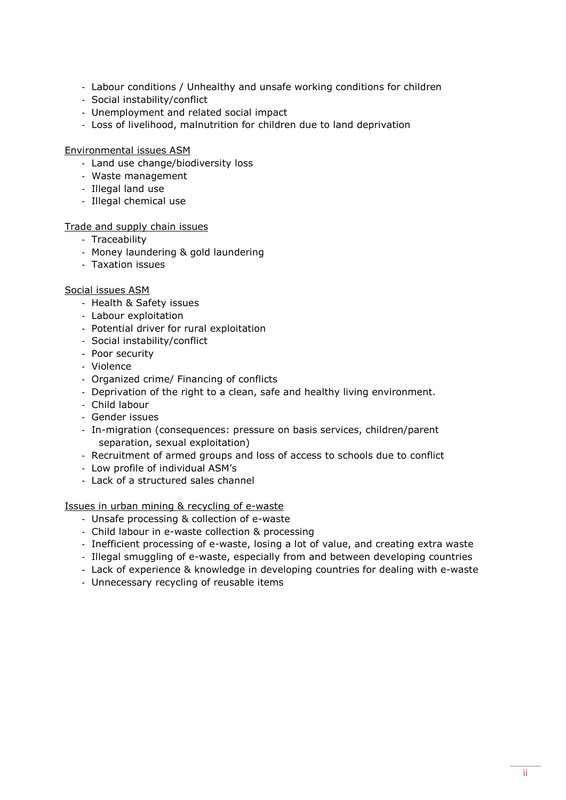- Labour conditions / Unhealthy and unsafe working conditions for children
- Social instability/conflict
- Unemployment and related social impact
- Loss of livelihood, malnutrition for children due to land deprivation

Environmental issues ASM

- Land use change/biodiversity loss
- Waste management
- Illegal land use
- Illegal chemical use

#### Trade and supply chain issues

- Traceability
- Money laundering & gold laundering
- Taxation issues

#### Social issues ASM

- Health & Safety issues
- Labour exploitation
- Potential driver for rural exploitation
- Social instability/conflict
- Poor security
- Violence
- Organized crime/ Financing of conflicts
- Deprivation of the right to a clean, safe and healthy living environment.
- Child labour
- Gender issues
- In-migration (consequences: pressure on basis services, children/parent separation, sexual exploitation)
- Recruitment of armed groups and loss of access to schools due to conflict
- Low profile of individual ASM's
- Lack of a structured sales channel

Issues in urban mining & recycling of e-waste

- Unsafe processing & collection of e-waste
- Child labour in e-waste collection & processing
- Inefficient processing of e-waste, losing a lot of value, and creating extra waste
- Illegal smuggling of e-waste, especially from and between developing countries
- Lack of experience & knowledge in developing countries for dealing with e-waste
- Unnecessary recycling of reusable items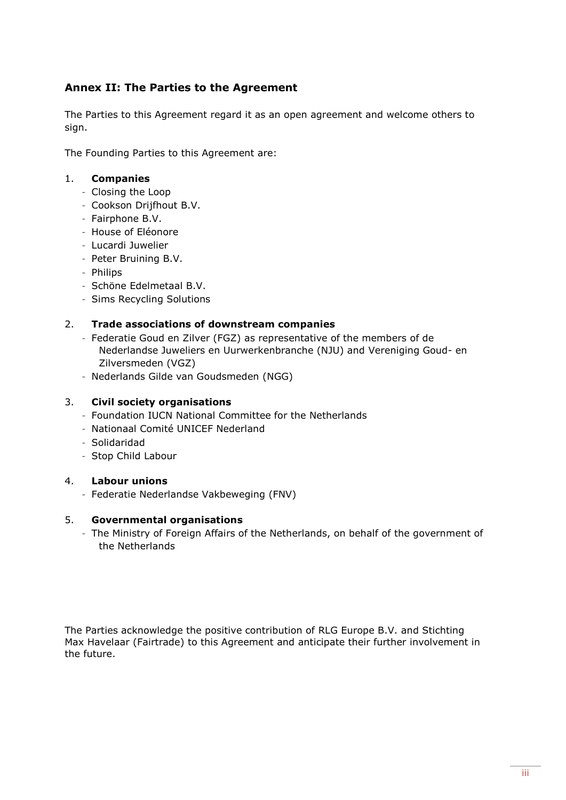## <span id="page-24-0"></span>**Annex II: The Parties to the Agreement**

The Parties to this Agreement regard it as an open agreement and welcome others to sign.

The Founding Parties to this Agreement are:

## 1. **Companies**

- ‑ Closing the Loop
- ‑ Cookson Drijfhout B.V.
- ‑ Fairphone B.V.
- ‑ House of Eléonore
- ‑ Lucardi Juwelier
- ‑ Peter Bruining B.V.
- ‑ Philips
- ‑ Schöne Edelmetaal B.V.
- ‑ Sims Recycling Solutions

## 2. **Trade associations of downstream companies**

- ‑ Federatie Goud en Zilver (FGZ) as representative of the members of de Nederlandse Juweliers en Uurwerkenbranche (NJU) and Vereniging Goud- en Zilversmeden (VGZ)
- ‑ Nederlands Gilde van Goudsmeden (NGG)

### 3. **Civil society organisations**

- ‑ Foundation IUCN National Committee for the Netherlands
- ‑ Nationaal Comité UNICEF Nederland
- ‑ Solidaridad
- ‑ Stop Child Labour

### 4. **Labour unions**

‑ Federatie Nederlandse Vakbeweging (FNV)

### 5. **Governmental organisations**

‑ The Ministry of Foreign Affairs of the Netherlands, on behalf of the government of the Netherlands

The Parties acknowledge the positive contribution of RLG Europe B.V. and Stichting Max Havelaar (Fairtrade) to this Agreement and anticipate their further involvement in the future.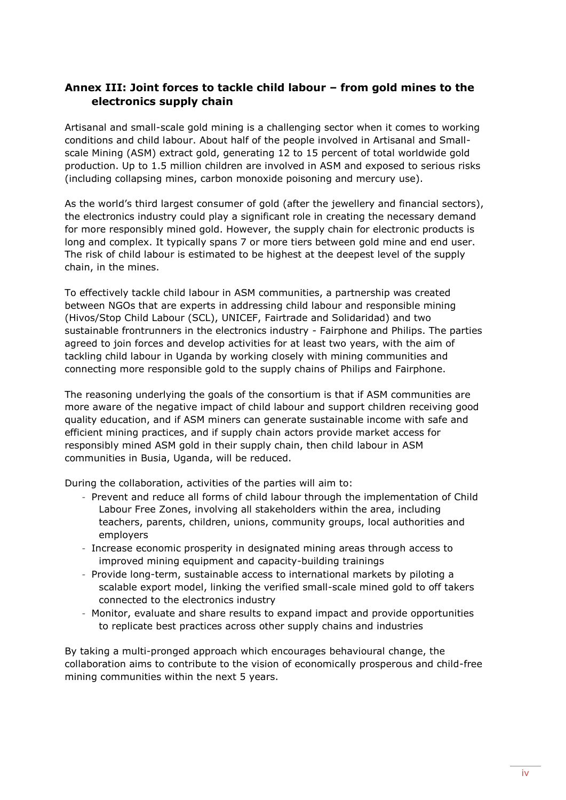## <span id="page-25-0"></span>**Annex III: Joint forces to tackle child labour – from gold mines to the electronics supply chain**

Artisanal and small-scale gold mining is a challenging sector when it comes to working conditions and child labour. About half of the people involved in Artisanal and Smallscale Mining (ASM) extract gold, generating 12 to 15 percent of total worldwide gold production. Up to 1.5 million children are involved in ASM and exposed to serious risks (including collapsing mines, carbon monoxide poisoning and mercury use).

As the world's third largest consumer of gold (after the jewellery and financial sectors), the electronics industry could play a significant role in creating the necessary demand for more responsibly mined gold. However, the supply chain for electronic products is long and complex. It typically spans 7 or more tiers between gold mine and end user. The risk of child labour is estimated to be highest at the deepest level of the supply chain, in the mines.

To effectively tackle child labour in ASM communities, a partnership was created between NGOs that are experts in addressing child labour and responsible mining (Hivos/Stop Child Labour (SCL), UNICEF, Fairtrade and Solidaridad) and two sustainable frontrunners in the electronics industry - Fairphone and Philips. The parties agreed to join forces and develop activities for at least two years, with the aim of tackling child labour in Uganda by working closely with mining communities and connecting more responsible gold to the supply chains of Philips and Fairphone.

The reasoning underlying the goals of the consortium is that if ASM communities are more aware of the negative impact of child labour and support children receiving good quality education, and if ASM miners can generate sustainable income with safe and efficient mining practices, and if supply chain actors provide market access for responsibly mined ASM gold in their supply chain, then child labour in ASM communities in Busia, Uganda, will be reduced.

During the collaboration, activities of the parties will aim to:

- ‑ Prevent and reduce all forms of child labour through the implementation of Child Labour Free Zones, involving all stakeholders within the area, including teachers, parents, children, unions, community groups, local authorities and employers
- ‑ Increase economic prosperity in designated mining areas through access to improved mining equipment and capacity-building trainings
- ‑ Provide long-term, sustainable access to international markets by piloting a scalable export model, linking the verified small-scale mined gold to off takers connected to the electronics industry
- ‑ Monitor, evaluate and share results to expand impact and provide opportunities to replicate best practices across other supply chains and industries

By taking a multi-pronged approach which encourages behavioural change, the collaboration aims to contribute to the vision of economically prosperous and child-free mining communities within the next 5 years.